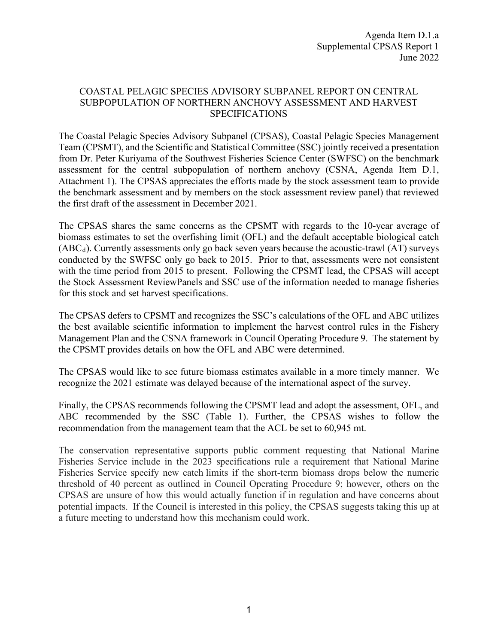## COASTAL PELAGIC SPECIES ADVISORY SUBPANEL REPORT ON CENTRAL SUBPOPULATION OF NORTHERN ANCHOVY ASSESSMENT AND HARVEST SPECIFICATIONS

The Coastal Pelagic Species Advisory Subpanel (CPSAS), Coastal Pelagic Species Management Team (CPSMT), and the Scientific and Statistical Committee (SSC) jointly received a presentation from Dr. Peter Kuriyama of the Southwest Fisheries Science Center (SWFSC) on the benchmark assessment for the central subpopulation of northern anchovy (CSNA, Agenda Item D.1, Attachment 1). The CPSAS appreciates the efforts made by the stock assessment team to provide the benchmark assessment and by members on the stock assessment review panel) that reviewed the first draft of the assessment in December 2021.

The CPSAS shares the same concerns as the CPSMT with regards to the 10-year average of biomass estimates to set the overfishing limit (OFL) and the default acceptable biological catch  $(ABC<sub>d</sub>)$ . Currently assessments only go back seven years because the acoustic-trawl  $(AT)$  surveys conducted by the SWFSC only go back to 2015. Prior to that, assessments were not consistent with the time period from 2015 to present. Following the CPSMT lead, the CPSAS will accept the Stock Assessment ReviewPanels and SSC use of the information needed to manage fisheries for this stock and set harvest specifications.

The CPSAS defers to CPSMT and recognizes the SSC's calculations of the OFL and ABC utilizes the best available scientific information to implement the harvest control rules in the Fishery Management Plan and the CSNA framework in Council Operating Procedure 9. The statement by the CPSMT provides details on how the OFL and ABC were determined.

The CPSAS would like to see future biomass estimates available in a more timely manner. We recognize the 2021 estimate was delayed because of the international aspect of the survey.

Finally, the CPSAS recommends following the CPSMT lead and adopt the assessment, OFL, and ABC recommended by the SSC (Table 1). Further, the CPSAS wishes to follow the recommendation from the management team that the ACL be set to 60,945 mt.

The conservation representative supports public comment requesting that National Marine Fisheries Service include in the 2023 specifications rule a requirement that National Marine Fisheries Service specify new catch limits if the short-term biomass drops below the numeric threshold of 40 percent as outlined in Council Operating Procedure 9; however, others on the CPSAS are unsure of how this would actually function if in regulation and have concerns about potential impacts. If the Council is interested in this policy, the CPSAS suggests taking this up at a future meeting to understand how this mechanism could work.